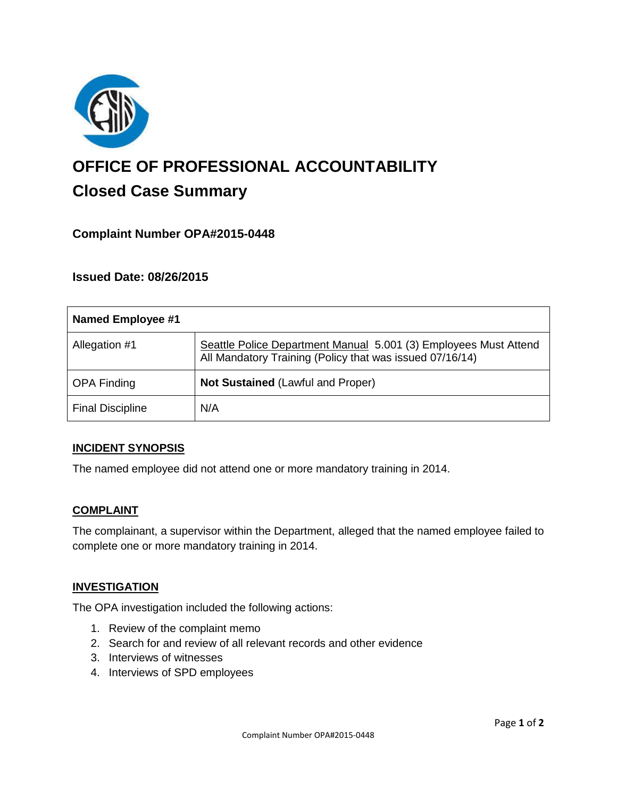

# **OFFICE OF PROFESSIONAL ACCOUNTABILITY Closed Case Summary**

## **Complaint Number OPA#2015-0448**

## **Issued Date: 08/26/2015**

| <b>Named Employee #1</b> |                                                                                                                              |
|--------------------------|------------------------------------------------------------------------------------------------------------------------------|
| Allegation #1            | Seattle Police Department Manual 5.001 (3) Employees Must Attend<br>All Mandatory Training (Policy that was issued 07/16/14) |
| <b>OPA Finding</b>       | <b>Not Sustained (Lawful and Proper)</b>                                                                                     |
| <b>Final Discipline</b>  | N/A                                                                                                                          |

#### **INCIDENT SYNOPSIS**

The named employee did not attend one or more mandatory training in 2014.

#### **COMPLAINT**

The complainant, a supervisor within the Department, alleged that the named employee failed to complete one or more mandatory training in 2014.

#### **INVESTIGATION**

The OPA investigation included the following actions:

- 1. Review of the complaint memo
- 2. Search for and review of all relevant records and other evidence
- 3. Interviews of witnesses
- 4. Interviews of SPD employees